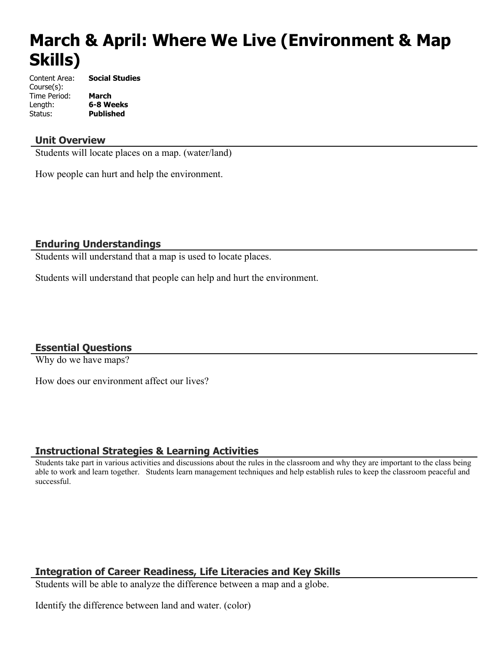# **March & April: Where We Live (Environment & Map Skills)**

Content Area: **Social Studies** Course(s): Time Period: **March** Length: **6-8 Weeks** Status: **Published**

## **Unit Overview**

Students will locate places on a map. (water/land)

How people can hurt and help the environment.

#### **Enduring Understandings**

Students will understand that a map is used to locate places.

Students will understand that people can help and hurt the environment.

## **Essential Questions**

Why do we have maps?

How does our environment affect our lives?

#### **Instructional Strategies & Learning Activities**

Students take part in various activities and discussions about the rules in the classroom and why they are important to the class being able to work and learn together. Students learn management techniques and help establish rules to keep the classroom peaceful and successful.

## **Integration of Career Readiness, Life Literacies and Key Skills**

Students will be able to analyze the difference between a map and a globe.

Identify the difference between land and water. (color)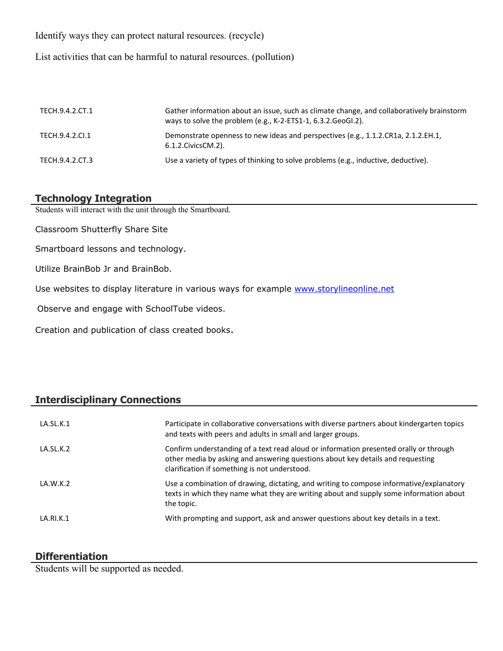Identify ways they can protect natural resources. (recycle)

List activities that can be harmful to natural resources. (pollution)

| TECH.9.4.2.CT.1 | Gather information about an issue, such as climate change, and collaboratively brainstorm<br>ways to solve the problem (e.g., K-2-ETS1-1, 6.3.2. GeoGI.2). |
|-----------------|------------------------------------------------------------------------------------------------------------------------------------------------------------|
| TECH.9.4.2.CI.1 | Demonstrate openness to new ideas and perspectives (e.g., 1.1.2.CR1a, 2.1.2.EH.1,<br>6.1.2. Civics CM. 2).                                                 |
| TECH.9.4.2.CT.3 | Use a variety of types of thinking to solve problems (e.g., inductive, deductive).                                                                         |

## **Technology Integration**

Students will interact with the unit through the Smartboard.

Classroom Shutterfly Share Site

Smartboard lessons and technology.

Utilize BrainBob Jr and BrainBob.

Use websites to display literature in various ways for example [www.storylineonline.net](http://www.storylineonline.net/)

Observe and engage with SchoolTube videos.

Creation and publication of class created books.

## **Interdisciplinary Connections**

| LA.SL.K.1 | Participate in collaborative conversations with diverse partners about kindergarten topics<br>and texts with peers and adults in small and larger groups.                                                                |
|-----------|--------------------------------------------------------------------------------------------------------------------------------------------------------------------------------------------------------------------------|
| LA.SL.K.2 | Confirm understanding of a text read aloud or information presented orally or through<br>other media by asking and answering questions about key details and requesting<br>clarification if something is not understood. |
| LA.W.K.2  | Use a combination of drawing, dictating, and writing to compose informative/explanatory<br>texts in which they name what they are writing about and supply some information about<br>the topic.                          |
| LA.RI.K.1 | With prompting and support, ask and answer questions about key details in a text.                                                                                                                                        |

## **Differentiation**

Students will be supported as needed.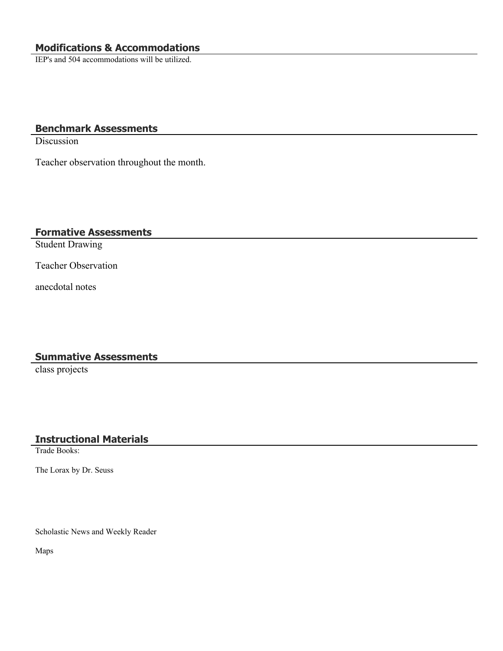IEP's and 504 accommodations will be utilized.

## **Benchmark Assessments**

Discussion

Teacher observation throughout the month.

## **Formative Assessments**

Student Drawing

Teacher Observation

anecdotal notes

#### **Summative Assessments**

class projects

#### **Instructional Materials**

Trade Books:

The Lorax by Dr. Seuss

Scholastic News and Weekly Reader

Maps